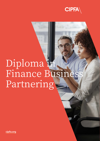

## Diploma in Finance Busines Partnering

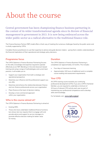## About the course

Central government has been championing finance business partnering in the context of its wider transformational agenda since its Review of financial management in government in 2013. It is now being embraced across the wider public sector as a radical alternative to the traditional finance role.

The Finance Business Partner (FBP) model offers a fresh way of meeting the numerous challenges faced by the public sector and is wholly supported by CIPFA.

It enables finance practitioners to use their expertise to advise and guide decision makers – giving them a better understanding of the financial implications of their operational and strategic policy decisions.

#### **Programme focus**

The CIPFA Diploma in Finance Business Partnering focuses on the skills, knowledge and expertise required to operate effectively as an FBP. Blending on-line and classroom based training and using a range of methodologies and current best practice, it will enable you to:

- Support your organisation from both a strategic and operational perspective
- Maximise your influence and the professional support you can offer
- Maximise and enhance the relationship between finance and non-finance professionals across your organisation
- Place finance at the heart of decision making
- Develop a more commercial approach within your organisation.

#### **Who is the course aimed at?**

The CIPFA Diploma in Finance Business Partnering is aimed at:

- Existing FBPs
- Those who have undertaken traditional finance functions but whose role now requires them to engage with and provide advice and support to service managers to promote effective decision making for better value for money.

#### **Duration**

The CIPFA Diploma in Finance Business Partnering is completed over approximately 10 months. This includes:

- Four days of classroom learning
- Approximately 100 hours of additional work to complete course reading and assessment requirements.

#### **Your CPD**

All CIPFA training counts towards your continuing professional development (CPD). If you are a CIPFA Chartered Member, you are required to undertake a minimum of 20 hours of relevant CPD activity each year as part of maintaining your professional competence and to develop skills and knowledge.

For full details visit: **www.cipfa.org/cpd**

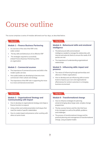### Course outline

The course comprises a series of modules delivered over four days, as described below.

#### **Day one**

#### **Module 1 – Finance Business Partnering**

- An overview of the role of the FBP in the wider context
- The key skills and behaviours of an effective FBP
- The strategies required to successfully embed Finance Business Partnering within an organisation

#### **Module 2 – Commercial acumen**

- The importance of commercial acumen and skills in the modern public services
- How public bodies are developing to become more commercial in their outlook and strategy
- The importance of the FBP role in supporting the move to a more commercial environment

#### **Day three**

#### **Module 4 – Behavioural skills and emotional intelligence**

- The behavioural skills and emotional intelligence needed to manage the relationship with internal and external clients to ensure the needs of all parties are met
- The importance of understanding organisational relationships

#### **Module 5 – Influencing skills: impact and presence**

- The nature of influencing through partnerships and alliances in flatter organisations
- How to develop and use influencing skills at senior levels to improve your own and organisational effectiveness for win/win outcomes in a changing business environment

#### **Day two**

#### **Module 3 – Organisational Strategy and Communicating with Impact**

- How to develop an organisational strategy and shape a finance function to respond
- Using written and verbal presentation techniques that meet the needs of specific stakeholders
- How to create impact and presence when working with others at senior levels

#### **Day four**

#### **Module 6 – Transformational change**

- How to influence strategies for planning aimed at bringing about large scale, complex change programmes
- The key success factors and the risks that have to be managed, as well as the pitfalls, problems and challenges
- The process of transformational change and the practical planning and management of transformational change, using accepted models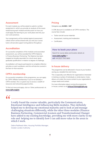#### **Assessment**

For each module you will be asked to submit a written assignment in which you provide an analysis of the issues raised during each module and discussion on how you could apply the learning to your work place and into your own work practices.

Your assignments will be marked against assessment criteria which will be shared with you and your course tutors will provide support and guidance throughout.

#### **Accreditation**

On successful completion of the modules and associated assessment, you will be awarded the CIPFA Diploma in Finance Business Partnering. The Diploma has been mapped as broadly equivalent to a level seven (postgraduate) qualification in relation to degree of challenge.

Accreditation will require participants to complete reflective activities on each workbook, and this will also be covered in the face-to-face sessions.

#### **CIPFA membership**

On successful completion of the programme, you can apply for CIPFA Affiliate membership. If you're not already a CIPFA member, this is a great way to access a wealth of resources and networking opportunities.

To find out more and apply, click on 'Other professionals' at: **www.cipfa.org/join**

#### **Pricing**

#### Delegates pay **£2,500 + VAT**

A 10% discount is available to all CIPFA members. The course fees include:

- Tuition and all course materials
- Assessment, marking and moderation
- **Certification**

#### **How to book your place**

Search for course dates and location details at:

**www.cipfa.org/fbp** or **call** +44 (0)20 7543 5600

#### **In house delivery**

The programme can be delivered in-house at your location, saving you valuable time and money.

This is especially cost-effective for organisations interested in training a number of individuals or whole teams. It also allows us to tailor the course content to your organisation's unique needs and context.

For more information about running the programme in-house, contact us at: **InHouseTraining@cipfa.org**

# $"$

I really found the course valuable, particularly the Communication, Emotional Intelligence and Influencing Skills modules. They definitely helped me to develop my emotional maturity and to look at and manage challenging situations differently, while the other three modules (Finance Business Partnering, Commercial Acumen and Transformational Change) have added to my existing knowledge, providing me with more clarity in my role and helping me to identify how I can add more value in the areas in which I work.

Debra Redhead-Allen, Housing Portfolio Manager, Greater London Authority